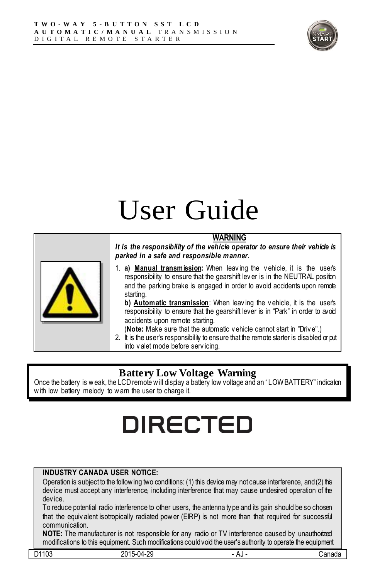

# User Guide

#### **WARNING**



*It is the responsibility of the vehicle operator to ensure their vehicle is parked in a safe and responsible manner.*

1. **a) Manual transmission:** When leav ing the v ehicle, it is the user's responsibility to ensure that the gearshift lever is in the NEUTRAL position and the parking brake is engaged in order to avoid accidents upon remote starting.

**b) Automatic transmission**: When leav ing the v ehicle, it is the user's responsibility to ensure that the gearshift lever is in "Park" in order to avoid accidents upon remote starting.

(**Note:** Make sure that the automatic v ehicle cannot start in "Driv e".)

2. It is the user's responsibility to ensure that the remote starter is disabled or put into v alet mode before serv icing.

#### **Battery Low Voltage Warning**

Once the battery is w eak, the LCD remote w ill display a battery low voltage and an "LOW BATTERY" indication w ith low battery melody to w arn the user to charge it.

## **DIRECTED**

#### **INDUSTRY CANADA USER NOTICE:**

Operation is subject to the follow ing two conditions: (1) this device may not cause interference, and (2) this dev ice must accept any interference, including interference that may cause undesired operation of the dev ice.

To reduce potential radio interference to other users, the antenna ty pe and its gain should be so chosen that the equiv alent isotropically radiated power (EIRP) is not more than that required for successful communication.

**NOTE:** The manufacturer is not responsible for any radio or TV interference caused by unauthorized modifications to this equipment. Such modifications could void the user's authority to operate the equipment

| 102<br>D <sub>4</sub><br>ن را<br>◡ | ാറ<br>n 1<br>ັດ<br>∼ | nu | udilaur |
|------------------------------------|----------------------|----|---------|
|                                    |                      |    |         |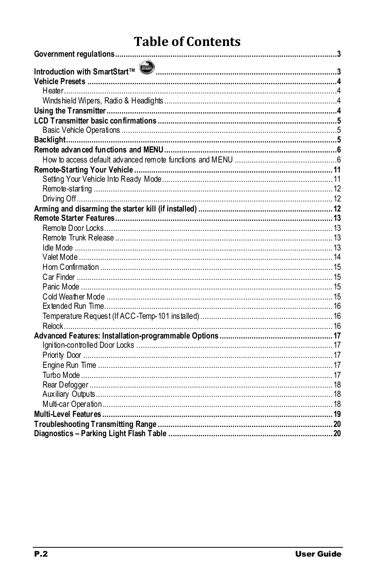### **Table of Contents**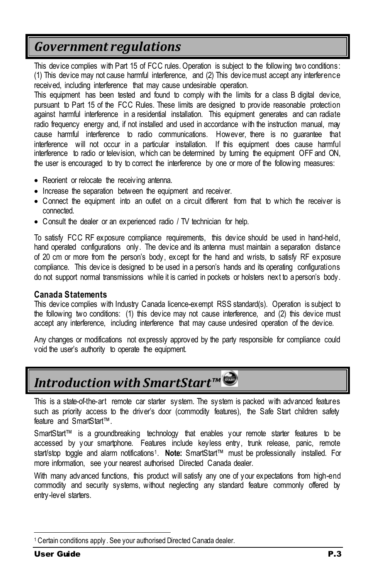### <span id="page-2-0"></span>*Government regulations*

This device complies with Part 15 of FCC rules. Operation is subject to the following two conditions: (1) This device may not cause harmful interference, and (2) This device must accept any interference received, including interference that may cause undesirable operation.

This equipment has been tested and found to comply with the limits for a class B digital device, pursuant to Part 15 of the FCC Rules. These limits are designed to provide reasonable protection against harmful interference in a residential installation. This equipment generates and can radiate radio frequency energy and, if not installed and used in accordance with the instruction manual, may cause harmful interference to radio communications. However, there is no guarantee that interference will not occur in a particular installation. If this equipment does cause harmful interference to radio or television, which can be determined by turning the equipment OFF and ON, the user is encouraged to try to correct the interference by one or more of the following measures:

- Reorient or relocate the receiving antenna.
- Increase the separation between the equipment and receiver.
- Connect the equipment into an outlet on a circuit different from that to which the receiver is connected.
- Consult the dealer or an experienced radio / TV technician for help.

To satisfy FCC RF exposure compliance requirements, this device should be used in hand-held, hand operated configurations only. The device and its antenna must maintain a separation distance of 20 cm or more from the person's body, except for the hand and wrists, to satisfy RF exposure compliance. This device is designed to be used in a person's hands and its operating configurations do not support normal transmissions while it is carried in pockets or holsters next to a person's body.

#### **Canada Statements**

This device complies with Industry Canada licence-exempt RSS standard(s). Operation is subject to the following two conditions: (1) this device may not cause interference, and (2) this device must accept any interference, including interference that may cause undesired operation of the device.

Any changes or modifications not expressly approved by the party responsible for compliance could void the user's authority to operate the equipment.

## <span id="page-2-1"></span>*Introduction with SmartStart™*

This is a state-of-the-art remote car starter system. The system is packed with advanced features such as priority access to the driver's door (commodity features), the Safe Start children safety feature and SmartStart™.

SmartStart™ is a groundbreaking technology that enables your remote starter features to be accessed by your smartphone. Features include keyless entry, trunk release, panic, remote start/stop toggle and alarm notifications<sup>1</sup>. Note: SmartStart™ must be professionally installed. For more information, see your nearest authorised Directed Canada dealer.

With many advanced functions, this product will satisfy any one of your expectations from high-end commodity and security systems, without neglecting any standard feature commonly offered by entry-level starters.

1

<sup>1</sup> Certain conditions apply . See your authorised Directed Canada dealer.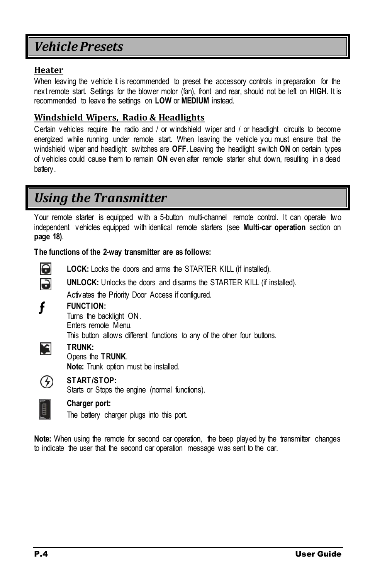### <span id="page-3-0"></span>*Vehicle Presets*

#### <span id="page-3-1"></span>**Heater**

When leaving the vehicle it is recommended to preset the accessory controls in preparation for the next remote start. Settings for the blower motor (fan), front and rear, should not be left on **HIGH**. It is recommended to leave the settings on **LOW** or **MEDIUM** instead.

#### <span id="page-3-2"></span>**Windshield Wipers, Radio & Headlights**

Certain vehicles require the radio and / or windshield wiper and / or headlight circuits to become energized while running under remote start. When leaving the vehicle you must ensure that the windshield wiper and headlight switches are **OFF**. Leaving the headlight switch **ON** on certain types of vehicles could cause them to remain **ON** even after remote starter shut down, resulting in a dead battery.

### <span id="page-3-3"></span>*Using the Transmitter*

Your remote starter is equipped with a 5-button multi-channel remote control. It can operate two independent vehicles equipped with identical remote starters (see **Multi-car operation** section on **page [18\)](#page-17-0)**.

**The functions of the 2-way transmitter are as follows:**



**LOCK:** Locks the doors and arms the STARTER KILL (if installed).



f

**UNLOCK:** Unlocks the doors and disarms the STARTER KILL (if installed).

Activates the Priority Door Access if configured.

#### **FUNCTION:**

Turns the backlight ON. Enters remote Menu.

This button allows different functions to any of the other four buttons.



#### **TRUNK:** Opens the **TRUNK**.

**Note:** Trunk option must be installed.



#### **START/STOP:**

Starts or Stops the engine (normal functions).



#### **Charger port:**

The battery charger plugs into this port.

**Note:** When using the remote for second car operation, the beep played by the transmitter changes to indicate the user that the second car operation message was sent to the car.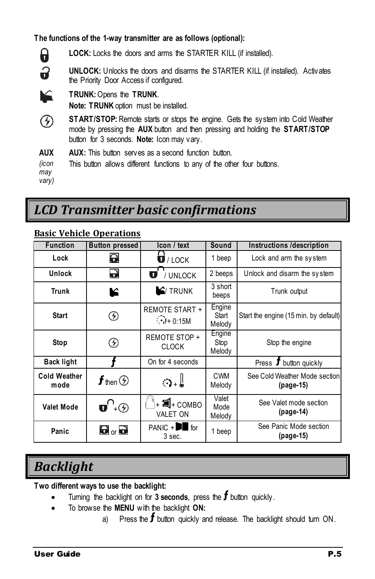**The functions of the 1-way transmitter are as follows (optional):**



**LOCK:** Locks the doors and arms the STARTER KILL (if installed).

**UNLOCK:** Unlocks the doors and disarms the STARTER KILL (if installed). Activates the Priority Door Access if configured.

- **TRUNK:**Opens the **TRUNK**. **Note: TRUNK** option must be installed.
- $\odot$ **START/STOP:** Remote starts or stops the engine. Gets the system into Cold Weather mode by pressing the **AUX** button and then pressing and holding the **START/STOP** button for 3 seconds. **Note:** Icon may vary.
- **AUX AUX:** This button serves as a second function button.

*(icon*  This button allows different functions to any of the other four buttons.

*may* 

*vary)*

### <span id="page-4-0"></span>*LCD Transmitter basic confirmations*

#### **Function Button pressed Icon / text Sound Instructions /description Lock** / LOCK 1 beep Lock and arm the sy stem **Unlock**  $\overrightarrow{v}$   $\overrightarrow{v}$  / UNLOCK 2 beeps Unlock and disarm the system **Trunk C F** TRUNK 3 short Trunk output beeps **Engine** REMOTE START + **Start** ⊛ **Start** Start the engine (15 min. by default)  $\binom{1}{1}$  + 0:15M Melody Engine **Stop**  $\bigotimes$  REMOTE STOP + Stop Stop the engine CLOCK Melody **Back light f c f** On for 4 seconds **example 1** Press **f** button quickly See Cold Weather Mode section **Cold Weather** CWM  $\begin{array}{ccc} \texttt{a} \texttt{ wea} \texttt{uner} & \texttt{f} \texttt{ then } \textcircled{S} & | & \texttt{\circled{a}} \texttt{.} \end{array}$ Melody **(pag[e-15\)](#page-14-3)** Valet **Valet Mode**  $\left| \begin{array}{c} \bullet \\ \bullet \end{array} \right|$   $\left| \begin{array}{c} \bullet \\ \bullet \end{array} \right|$  +  $\blacksquare$ + COMBO See Valet mode section Mode **(pag[e-14\)](#page-13-0)** VALET ON Melody PANIC  $+$   $\blacksquare$  for 1 beep See Panic Mode section Panic  $\blacksquare$  **P**<sub>or</sub> 3 sec. **(pag[e-15\)](#page-14-4)**

#### <span id="page-4-1"></span>**Basic Vehicle Operations**

### <span id="page-4-2"></span>*Backlight*

**Two different ways to use the backlight:**

- Turning the backlight on for  $3$  seconds, press the  $f$  button quickly.
- To browse the **MENU** with the backlight **ON:**
	- a) Press the  $f$  button quickly and release. The backlight should turn ON.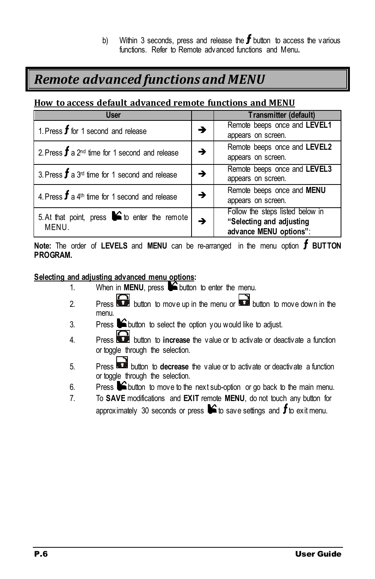b) Within 3 seconds, press and release the  $f$  button to access the various functions. Refer to Remote advanced functions and Menu**.**

### <span id="page-5-0"></span>*Remote advanced functions and MENU*

#### <span id="page-5-1"></span>**How to access default advanced remote functions and MENU**

| <b>User</b>                                                  |   | Transmitter (default)            |
|--------------------------------------------------------------|---|----------------------------------|
| 1. Press $f$ for 1 second and release                        | → | Remote beeps once and LEVEL1     |
|                                                              |   | appears on screen.               |
|                                                              |   | Remote beeps once and LEVEL2     |
| 2. Press $f$ a 2 <sup>nd</sup> time for 1 second and release |   | appears on screen.               |
|                                                              | → | Remote beeps once and LEVEL3     |
| 3. Press $f$ a 3 <sup>rd</sup> time for 1 second and release |   | appears on screen.               |
|                                                              | → | Remote beeps once and MENU       |
| 4. Press $f$ a 4 <sup>th</sup> time for 1 second and release |   | appears on screen.               |
| 5. At that point, press $\bullet$ to enter the remote        |   | Follow the steps listed below in |
| MENU.                                                        |   | "Selecting and adjusting         |
|                                                              |   | advance MENU options":           |

**Note:** The order of LEVELS and MENU can be re-arranged in the menu option **f** BUTTON **PROGRAM.**

#### **Selecting and adjusting advanced menu options:**

- 1. When in **MENU**, press  $\bigcirc$  button to enter the menu.
- 2. Press button to move up in the menu or button to move down in the menu.
- 3. Press  $\blacktriangleright$  button to select the option you would like to adjust.
- 4. Press **button to increase** the value or to activate or deactivate a function or toggle through the selection.
- 5. Press button to **decrease** the value or to activate or deactivate a function or toggle through the selection.
- 6. Press  $\bigcirc$  button to move to the next sub-option or go back to the main menu.
- 7. To **SAVE** modifications and **EXIT** remote **MENU**, do not touch any button for approximately 30 seconds or press  $\blacktriangleright$  to save settings and  $f$  to exit menu.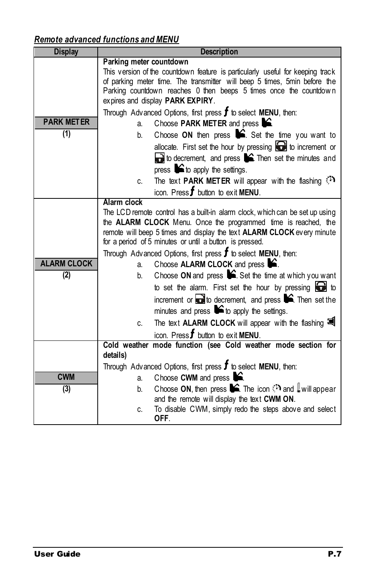### *Remote advanced functions and MENU*

| <b>Display</b>     | <b>Description</b>                                                                                                                       |  |  |  |
|--------------------|------------------------------------------------------------------------------------------------------------------------------------------|--|--|--|
|                    | Parking meter countdown                                                                                                                  |  |  |  |
|                    | This version of the countdown feature is particularly useful for keeping track                                                           |  |  |  |
|                    | of parking meter time. The transmitter will beep 5 times, 5min before the                                                                |  |  |  |
|                    | Parking countdown reaches 0 then beeps 5 times once the countdown<br>expires and display PARK EXPIRY.                                    |  |  |  |
|                    | Through Advanced Options, first press $f$ to select MENU, then:                                                                          |  |  |  |
| <b>PARK METER</b>  | Choose PARK METER and press <b>12</b> .                                                                                                  |  |  |  |
| (1)                | a.                                                                                                                                       |  |  |  |
|                    | Choose ON then press $\blacktriangleright$ . Set the time you want to<br>b.                                                              |  |  |  |
|                    | allocate. First set the hour by pressing $\bigodot$ to increment or                                                                      |  |  |  |
|                    | $\Box$ to decrement, and press $\blacksquare$ . Then set the minutes and                                                                 |  |  |  |
|                    | press $\blacktriangleright$ to apply the settings.                                                                                       |  |  |  |
|                    | The text <b>PARK METER</b> will appear with the flashing<br>C.                                                                           |  |  |  |
|                    | icon. Press $f$ button to exit MENU.                                                                                                     |  |  |  |
|                    | Alarm clock                                                                                                                              |  |  |  |
|                    | The LCD remote control has a built-in alarm clock, which can be set up using                                                             |  |  |  |
|                    | the ALARM CLOCK Menu. Once the programmed time is reached, the<br>remote will beep 5 times and display the text ALARM CLOCK every minute |  |  |  |
|                    | for a period of 5 minutes or until a button is pressed.                                                                                  |  |  |  |
|                    | Through Advanced Options, first press $f$ to select MENU, then:                                                                          |  |  |  |
| <b>ALARM CLOCK</b> | Choose ALARM CLOCK and press <b>S</b> .<br>a.                                                                                            |  |  |  |
| (2)                | Choose ON and press $\mathsf{S}$ . Set the time at which you want<br>b.                                                                  |  |  |  |
|                    | to set the alarm. First set the hour by pressing $\Box$ to                                                                               |  |  |  |
|                    | increment or $\Box$ to decrement, and press $\blacktriangleright$ . Then set the                                                         |  |  |  |
|                    | minutes and press $\blacktriangleright$ to apply the settings.                                                                           |  |  |  |
|                    | The text ALARM CLOCK will appear with the flashing<br>C.                                                                                 |  |  |  |
|                    | icon. Press $f$ button to exit MENU.                                                                                                     |  |  |  |
|                    | Cold weather mode function (see Cold weather mode section for                                                                            |  |  |  |
|                    | details)                                                                                                                                 |  |  |  |
|                    | Through Advanced Options, first press $f$ to select MENU, then:                                                                          |  |  |  |
| <b>CWM</b>         | Choose CWM and press $\mathbf{S}$ .<br>a.                                                                                                |  |  |  |
| (3)                | Choose ON, then press $\blacktriangleright$ . The icon $\mathbb{S}^n$ and $\mathbb{I}$ will appear<br>b.                                 |  |  |  |
|                    | and the remote will display the text CWM ON.                                                                                             |  |  |  |
|                    | To disable CWM, simply redo the steps above and select<br>C.<br>OFF.                                                                     |  |  |  |
|                    |                                                                                                                                          |  |  |  |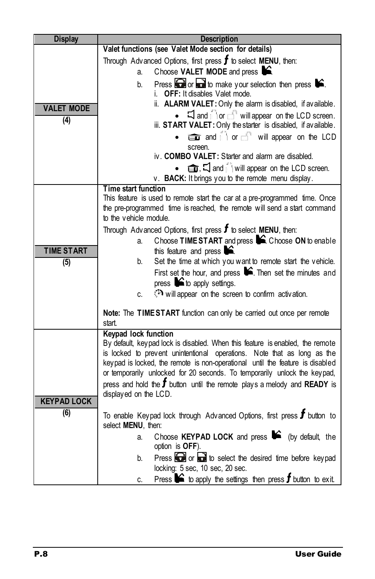| <b>Display</b>     | <b>Description</b>                                                                                                                                       |  |  |
|--------------------|----------------------------------------------------------------------------------------------------------------------------------------------------------|--|--|
|                    | Valet functions (see Valet Mode section for details)                                                                                                     |  |  |
|                    | Through Advanced Options, first press $f$ to select MENU, then:                                                                                          |  |  |
|                    | Choose VALET MODE and press $\mathbf{\hat{S}}$ .<br>a.                                                                                                   |  |  |
|                    | Press $\bigodot$ or $\bigodot$ to make your selection then press $\bigtriangledown$ .<br>b.                                                              |  |  |
|                    | <b>OFF:</b> It disables Valet mode.<br>i.                                                                                                                |  |  |
| <b>VALET MODE</b>  | ii. ALARM VALET: Only the alarm is disabled, if available.                                                                                               |  |  |
| (4)                | $\Box$ and $\Box$ or $\Box$ will appear on the LCD screen.<br>iii. START VALET: Only the starter is disabled, if available.                              |  |  |
|                    | and i or of will appear on the LCD<br>screen.                                                                                                            |  |  |
|                    | iv. COMBO VALET: Starter and alarm are disabled.                                                                                                         |  |  |
|                    | <b><math>\oplus</math></b> , $\Box$ and $\Diamond$ will appear on the LCD screen.                                                                        |  |  |
|                    | v. BACK: It brings you to the remote menu display.                                                                                                       |  |  |
|                    | Time start function                                                                                                                                      |  |  |
|                    | This feature is used to remote start the car at a pre-programmed time. Once                                                                              |  |  |
|                    | the pre-programmed time is reached, the remote will send a start command<br>to the vehicle module.                                                       |  |  |
|                    | Through Advanced Options, first press $f$ to select MENU, then:                                                                                          |  |  |
|                    | Choose TIME START and press C. Choose ON to enable<br>a.                                                                                                 |  |  |
| <b>TIME START</b>  | this feature and press $\blacktriangleright$ .                                                                                                           |  |  |
| (5)                | Set the time at which you want to remote start the vehicle.<br>b.                                                                                        |  |  |
|                    | First set the hour, and press $\blacktriangleright$ . Then set the minutes and                                                                           |  |  |
|                    | press $\triangleright$ to apply settings.                                                                                                                |  |  |
|                    | will appear on the screen to confirm activation.<br>C.                                                                                                   |  |  |
|                    | Note: The TIME START function can only be carried out once per remote                                                                                    |  |  |
|                    | start.                                                                                                                                                   |  |  |
|                    | <b>Keypad lock function</b>                                                                                                                              |  |  |
|                    | By default, keypad lock is disabled. When this feature is enabled, the remote<br>is locked to prevent unintentional operations. Note that as long as the |  |  |
|                    | keypad is locked, the remote is non-operational until the feature is disabled                                                                            |  |  |
|                    | or temporarily unlocked for 20 seconds. To temporarily unlock the keypad,                                                                                |  |  |
|                    | press and hold the $f$ button until the remote plays a melody and READY is                                                                               |  |  |
| <b>KEYPAD LOCK</b> | displayed on the LCD.                                                                                                                                    |  |  |
| (6)                |                                                                                                                                                          |  |  |
|                    | To enable Keypad lock through Advanced Options, first press $f$ button to<br>select MENU, then:                                                          |  |  |
|                    | Choose KEYPAD LOCK and press $\bullet$ (by default, the<br>a.<br>option is OFF).                                                                         |  |  |
|                    | Press or a to select the desired time before keypad<br>b.                                                                                                |  |  |
|                    | locking: 5 sec, 10 sec, 20 sec.                                                                                                                          |  |  |
|                    | Press $\bullet$ to apply the settings then press $f$ button to exit.<br>C.                                                                               |  |  |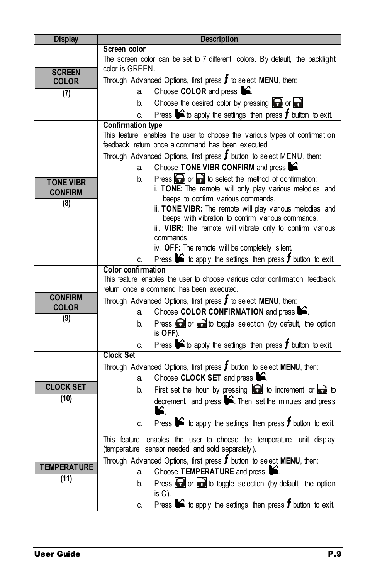| <b>Display</b>     | <b>Description</b>                                                                                           |  |  |
|--------------------|--------------------------------------------------------------------------------------------------------------|--|--|
|                    | Screen color                                                                                                 |  |  |
|                    | The screen color can be set to 7 different colors. By default, the backlight                                 |  |  |
| <b>SCREEN</b>      | color is GREEN.                                                                                              |  |  |
| <b>COLOR</b>       | Through Advanced Options, first press $f$ to select MENU, then:                                              |  |  |
| (7)                | Choose COLOR and press <b>C</b><br>a.                                                                        |  |  |
|                    | Choose the desired color by pressing $\bigodot$ or $\bigodot$<br>b.                                          |  |  |
|                    | Press $\bigcirc$ to apply the settings then press $f$ button to exit.<br>C.                                  |  |  |
|                    | <b>Confirmation type</b>                                                                                     |  |  |
|                    | This feature enables the user to choose the various types of confirmation                                    |  |  |
|                    | feedback return once a command has been executed.                                                            |  |  |
|                    | Through Advanced Options, first press $f$ button to select MENU, then:                                       |  |  |
|                    | Choose TONE VIBR CONFIRM and press <b>S</b> .<br>a.                                                          |  |  |
| <b>TONE VIBR</b>   | Press $\bigodot$ or $\bigodot$ to select the method of confirmation:<br>b.                                   |  |  |
| <b>CONFIRM</b>     | i. TONE: The remote will only play various melodies and                                                      |  |  |
| (8)                | beeps to confirm various commands.                                                                           |  |  |
|                    | ii. TONE VIBR: The remote will play various melodies and                                                     |  |  |
|                    | beeps with vibration to confirm various commands.                                                            |  |  |
|                    | iii. VIBR: The remote will vibrate only to confirm various                                                   |  |  |
|                    | commands.<br>iv. OFF: The remote will be completely silent.                                                  |  |  |
|                    |                                                                                                              |  |  |
|                    | Press $\blacktriangleright$ to apply the settings then press $f$ button to exit.<br>C.<br>Color confirmation |  |  |
|                    | This feature enables the user to choose various color confirmation feedback                                  |  |  |
|                    | return once a command has been executed.                                                                     |  |  |
| <b>CONFIRM</b>     | Through Advanced Options, first press $f$ to select MENU, then:                                              |  |  |
| <b>COLOR</b>       | Choose COLOR CONFIRMATION and press C.<br>a.                                                                 |  |  |
| (9)                | Press $\bigodot$ or $\bigodot$ to toggle selection (by default, the option<br>b.                             |  |  |
|                    | is OFF).                                                                                                     |  |  |
|                    | Press $\blacktriangleright$ to apply the settings then press $f$ button to exit.<br>c.                       |  |  |
|                    | <b>Clock Set</b>                                                                                             |  |  |
|                    | Through Advanced Options, first press $f$ button to select MENU, then:                                       |  |  |
|                    | Choose CLOCK SET and press $\blacktriangleright$ .<br>a.                                                     |  |  |
| <b>CLOCK SET</b>   | First set the hour by pressing $\bigodot$ to increment or $\bigodot$ to<br>b.                                |  |  |
| (10)               | decrement, and press $\blacktriangleright$ . Then set the minutes and press                                  |  |  |
|                    |                                                                                                              |  |  |
|                    |                                                                                                              |  |  |
|                    | Press $\bullet$ to apply the settings then press $f$ button to exit.<br>C.                                   |  |  |
|                    | enables the user to choose the temperature unit display<br>This feature                                      |  |  |
|                    | (temperature sensor needed and sold separately).                                                             |  |  |
| <b>TEMPERATURE</b> | Through Advanced Options, first press $f$ button to select MENU, then:                                       |  |  |
|                    | Choose TEMPERATURE and press $\mathbf{S}$ .<br>a.                                                            |  |  |
| (11)               | Press $\bigodot$ or $\bigodot$ to toggle selection (by default, the option<br>b.                             |  |  |
|                    | is $C$ ).                                                                                                    |  |  |
|                    | Press $\blacktriangleright$ to apply the settings then press <b>f</b> button to exit.<br>C.                  |  |  |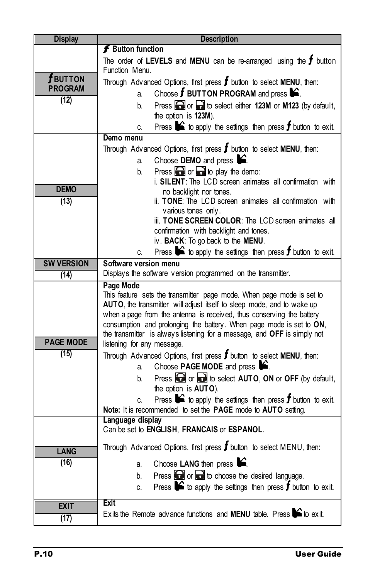| <b>Display</b>    | <b>Description</b>                                                                                                                            |  |  |
|-------------------|-----------------------------------------------------------------------------------------------------------------------------------------------|--|--|
|                   | <b>f</b> Button function                                                                                                                      |  |  |
|                   | The order of LEVELS and MENU can be re-arranged using the $f$ button                                                                          |  |  |
| $\bm{f}$ button   | Function Menu.                                                                                                                                |  |  |
| <b>PROGRAM</b>    | Through Advanced Options, first press $f$ button to select MENU, then:<br>Choose $f$ BUTTON PROGRAM and press $\mathbf{\infty}$ .<br>a.       |  |  |
| (12)              | Press or a to select either 123M or M123 (by default,<br>b.                                                                                   |  |  |
|                   | the option is 123M).                                                                                                                          |  |  |
|                   | Press $\triangleright$ to apply the settings then press <b>f</b> button to exit.<br>C.                                                        |  |  |
|                   | Demo menu                                                                                                                                     |  |  |
|                   | Through Advanced Options, first press $f$ button to select MENU, then:                                                                        |  |  |
|                   |                                                                                                                                               |  |  |
|                   | Choose DEMO and press $\bullet$ .<br>a.                                                                                                       |  |  |
|                   | Press $\bigodot$ or $\bigodot$ to play the demo:<br>b.<br>i. SILENT: The LCD screen animates all confirmation with                            |  |  |
| <b>DEMO</b>       | no backlight nor tones.                                                                                                                       |  |  |
| (13)              | ii. TONE: The LCD screen animates all confirmation with                                                                                       |  |  |
|                   | various tones only.                                                                                                                           |  |  |
|                   | iii. TONE SCREEN COLOR: The LCD screen animates all                                                                                           |  |  |
|                   | confirmation with backlight and tones.                                                                                                        |  |  |
|                   | iv. BACK: To go back to the MENU.                                                                                                             |  |  |
|                   | Press $\triangleright$ to apply the settings then press <b>f</b> button to exit.<br>C.                                                        |  |  |
| <b>SW VERSION</b> | Software version menu                                                                                                                         |  |  |
| (14)              | Displays the software version programmed on the transmitter.                                                                                  |  |  |
|                   | Page Mode                                                                                                                                     |  |  |
|                   | This feature sets the transmitter page mode. When page mode is set to                                                                         |  |  |
|                   | AUTO, the transmitter will adjust itself to sleep mode, and to wake up                                                                        |  |  |
|                   | when a page from the antenna is received, thus conserving the battery<br>consumption and prolonging the battery. When page mode is set to ON, |  |  |
|                   | the transmitter is always listening for a message, and OFF is simply not                                                                      |  |  |
| <b>PAGE MODE</b>  | listening for any message.                                                                                                                    |  |  |
| (15)              | Through Advanced Options, first press $f$ button to select MENU, then:                                                                        |  |  |
|                   | Choose <b>PAGE MODE</b> and press $\mathbf{S}$ .<br>a.                                                                                        |  |  |
|                   | Press or a to select AUTO, ON or OFF (by default,<br>b.                                                                                       |  |  |
|                   | the option is AUTO).                                                                                                                          |  |  |
|                   | Press $\bullet$ to apply the settings then press $f$ button to exit.<br>C.                                                                    |  |  |
|                   | Note: It is recommended to set the PAGE mode to AUTO setting.                                                                                 |  |  |
|                   | Language display                                                                                                                              |  |  |
|                   | Can be set to ENGLISH, FRANCAIS or ESPANOL.                                                                                                   |  |  |
| <b>LANG</b>       | Through Advanced Options, first press $f$ button to select MENU, then:                                                                        |  |  |
| (16)              | Choose LANG then press &<br>a.                                                                                                                |  |  |
|                   | Press $\Box$ or $\Box$ to choose the desired language.<br>b.                                                                                  |  |  |
|                   | Press $\bullet$ to apply the settings then press $f$ button to exit.<br>C.                                                                    |  |  |
|                   |                                                                                                                                               |  |  |
| <b>EXIT</b>       | Exit                                                                                                                                          |  |  |
| (17)              | Exits the Remote advance functions and MENU table. Press $\blacktriangleright$ to exit.                                                       |  |  |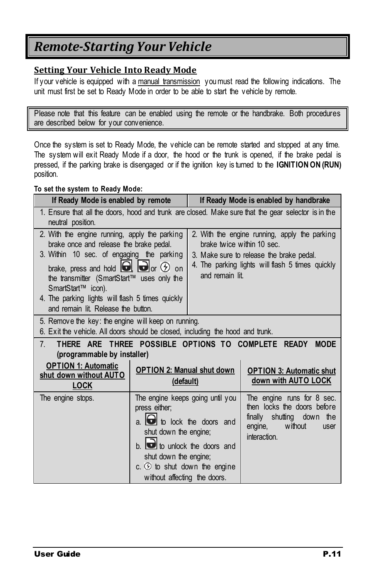### <span id="page-10-0"></span>*Remote-Starting Your Vehicle*

#### <span id="page-10-1"></span>**Setting Your Vehicle Into Ready Mode**

If your vehicle is equipped with a manual transmission you must read the following indications. The unit must first be set to Ready Mode in order to be able to start the vehicle by remote.

Please note that this feature can be enabled using the remote or the handbrake. Both procedures are described below for your convenience.

Once the system is set to Ready Mode, the vehicle can be remote started and stopped at any time. The system will exit Ready Mode if a door, the hood or the trunk is opened, if the brake pedal is pressed, if the parking brake is disengaged or if the ignition key is turned to the **IGNITION ON (RUN)** position.

#### **To set the system to Ready Mode:**

| If Ready Mode is enabled by remote                                                                                                                                                                                                                                                                                                                                    |                                                                                                                                                                                                                                                                |                                               | If Ready Mode is enabled by handbrake                                                                                                         |
|-----------------------------------------------------------------------------------------------------------------------------------------------------------------------------------------------------------------------------------------------------------------------------------------------------------------------------------------------------------------------|----------------------------------------------------------------------------------------------------------------------------------------------------------------------------------------------------------------------------------------------------------------|-----------------------------------------------|-----------------------------------------------------------------------------------------------------------------------------------------------|
| 1. Ensure that all the doors, hood and trunk are closed. Make sure that the gear selector is in the<br>neutral position.                                                                                                                                                                                                                                              |                                                                                                                                                                                                                                                                |                                               |                                                                                                                                               |
| 2. With the engine running, apply the parking<br>brake once and release the brake pedal.<br>3. Within 10 sec. of engaging the parking<br>brake, press and hold $\Box$ $\Box$ or $\odot$ on<br>the transmitter (SmartStart™ uses only the<br>SmartStart <sup>™</sup> icon).<br>4. The parking lights will flash 5 times quickly<br>and remain lit. Release the button. |                                                                                                                                                                                                                                                                | brake twice within 10 sec.<br>and remain lit. | 2. With the engine running, apply the parking<br>3. Make sure to release the brake pedal.<br>4. The parking lights will flash 5 times quickly |
| 5. Remove the key: the engine will keep on running.<br>6. Exit the vehicle. All doors should be closed, including the hood and trunk.                                                                                                                                                                                                                                 |                                                                                                                                                                                                                                                                |                                               |                                                                                                                                               |
| THERE ARE THREE POSSIBLE OPTIONS TO COMPLETE READY<br><b>MODE</b><br>$7_{\scriptscriptstyle{\sim}}$<br>(programmable by installer)                                                                                                                                                                                                                                    |                                                                                                                                                                                                                                                                |                                               |                                                                                                                                               |
| <b>OPTION 1: Automatic</b><br>shut down without AUTO<br><b>LOCK</b>                                                                                                                                                                                                                                                                                                   | <b>OPTION 2: Manual shut down</b><br><b>OPTION 3: Automatic shut</b><br>down with AUTO LOCK<br>(default)                                                                                                                                                       |                                               |                                                                                                                                               |
| The engine stops.                                                                                                                                                                                                                                                                                                                                                     | The engine keeps going until you<br>press either;<br>$a.$ $\bullet$ to lock the doors and<br>shut down the engine;<br>b. <b>b</b> to unlock the doors and<br>shut down the engine;<br>c. $\circled{2}$ to shut down the engine<br>without affecting the doors. |                                               | The engine runs for 8 sec.<br>then locks the doors before<br>finally shutting down the<br>without<br>engine,<br>user<br>interaction.          |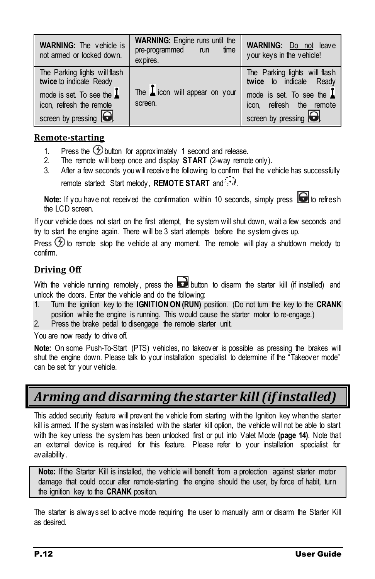| <b>WARNING:</b> The vehicle is<br>not armed or locked down.                                                                                          | <b>WARNING:</b> Engine runs until the<br>time<br>pre-programmed run<br>ex pires. | <b>WARNING:</b> Do not leave<br>your keys in the vehicle!                                                                                     |
|------------------------------------------------------------------------------------------------------------------------------------------------------|----------------------------------------------------------------------------------|-----------------------------------------------------------------------------------------------------------------------------------------------|
| The Parking lights will flash<br>twice to indicate Ready<br>mode is set. To see the $\blacksquare$<br>icon, refresh the remote<br>screen by pressing | The $\mathbf{I}$ icon will appear on your<br>screen.                             | The Parking lights will flash<br>twice to indicate Ready<br>mode is set. To see the $\perp$<br>icon, refresh the remote<br>screen by pressing |

#### <span id="page-11-0"></span>**Remote-starting**

- 1. Press the  $\bigcirc$  button for approximately 1 second and release.
- 2. The remote will beep once and display **START** (2-way remote only)**.**
- 3. After a few seconds you will receive the following to confirm that the vehicle has successfully remote started: Start melody, **REMOTE START** and  $\therefore$

Note: If you have not received the confirmation within 10 seconds. simply press  $\bigcirc$  to refresh the LCD screen.

If your vehicle does not start on the first attempt, the system will shut down, wait a few seconds and try to start the engine again. There will be 3 start attempts before the system gives up.

Press  $\circled{2}$  to remote stop the vehicle at any moment. The remote will play a shutdown melody to confirm.

#### <span id="page-11-1"></span>**Driving Off**

With the vehicle running remotely, press the **button** to disarm the starter kill (if installed) and unlock the doors. Enter the vehicle and do the following:

1. Turn the ignition key to the **IGNITION ON (RUN)** position. (Do not turn the key to the **CRANK** position while the engine is running. This would cause the starter motor to re-engage.)

2. Press the brake pedal to disengage the remote starter unit.

You are now ready to drive off.

**Note:** On some Push-To-Start (PTS) vehicles, no takeover is possible as pressing the brakes will shut the engine down. Please talk to your installation specialist to determine if the "Takeover mode" can be set for your vehicle.

### <span id="page-11-2"></span>*Arming and disarming the starter kill (if installed)*

This added security feature will prevent the vehicle from starting with the Ignition key when the starter kill is armed. If the system was installed with the starter kill option, the vehicle will not be able to start with the key unless the system has been unlocked first or put into Valet Mode **(page [14\)](#page-13-0)**. Note that an external device is required for this feature. Please refer to your installation specialist for availability.

Note: If the Starter Kill is installed, the vehicle will benefit from a protection against starter motor damage that could occur after remote-starting the engine should the user, by force of habit, turn the ignition key to the **CRANK** position.

The starter is always set to active mode requiring the user to manually arm or disarm the Starter Kill as desired.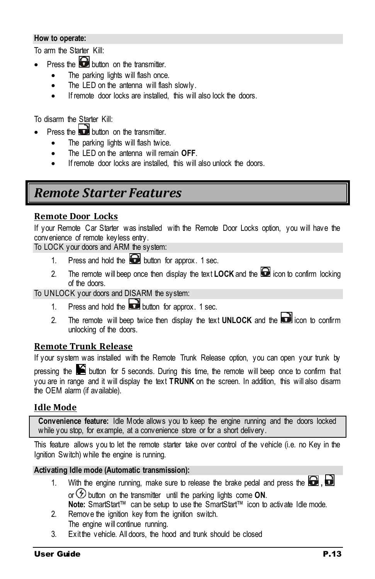#### **How to operate:**

To arm the Starter Kill:

- Press the  $\bigodot$  button on the transmitter.
	- The parking lights will flash once.
	- The LED on the antenna will flash slowly.
	- If remote door locks are installed, this will also lock the doors.

To disarm the Starter Kill:

- Press the **button** on the transmitter.
	- The parking lights will flash twice.
	- The LED on the antenna will remain **OFF**.
	- If remote door locks are installed, this will also unlock the doors.

### <span id="page-12-0"></span>*Remote Starter Features*

#### <span id="page-12-1"></span>**Remote Door Locks**

If your Remote Car Starter was installed with the Remote Door Locks option, you will have the convenience of remote keyless entry.

To LOCK your doors and ARM the system:

- 1. Press and hold the **button** for approx. 1 sec.
- 2. The remote will beep once then display the text **LOCK** and the  $\blacksquare$  icon to confirm locking of the doors.

To UNLOCK your doors and DISARM the system:

- 1. Press and hold the **button** for approx. 1 sec.
- 2. The remote will beep twice then display the text **UNLOCK** and the **interpalle** icon to confirm unlocking of the doors.

#### <span id="page-12-2"></span>**Remote Trunk Release**

If your system was installed with the Remote Trunk Release option, you can open your trunk by

pressing the  $\blacktriangleright$  button for 5 seconds. During this time, the remote will beep once to confirm that you are in range and it will display the text **TRUNK** on the screen. In addition, this will also disarm the OEM alarm (if available).

#### <span id="page-12-3"></span>**Idle Mode**

**Convenience feature:** Idle Mode allows you to keep the engine running and the doors locked while you stop, for example, at a convenience store or for a short delivery.

This feature allows you to let the remote starter take over control of the vehicle (i.e. no Key in the Ignition Switch) while the engine is running.

#### **Activating Idle mode (Automatic transmission):**

- 1. With the engine running, make sure to release the brake pedal and press the  $\Box$ ,  $\Box$ or  $\bigcirc$  button on the transmitter until the parking lights come **ON**. **Note:** SmartStart™ can be setup to use the SmartStart™ icon to activate Idle mode.
- 2. Remove the ignition key from the ignition switch. The engine will continue running.
- 3. Exit the vehicle. All doors, the hood and trunk should be closed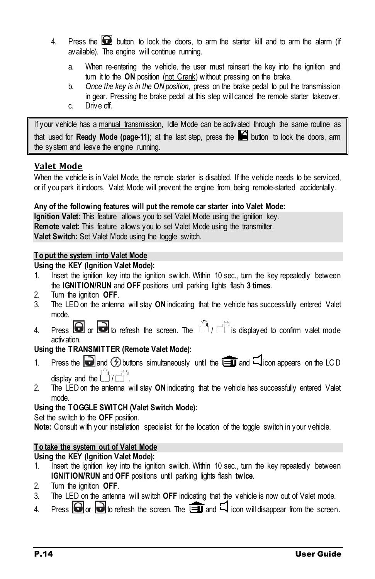- 4. Press the **button** to lock the doors, to arm the starter kill and to arm the alarm (if available). The engine will continue running.
	- a. When re-entering the vehicle, the user must reinsert the key into the ignition and turn it to the **ON** position (not Crank) without pressing on the brake.
	- b. *Once the key is in the ON position*, press on the brake pedal to put the transmission in gear. Pressing the brake pedal at this step will cancel the remote starter takeover. c. Drive off.
- If your vehicle has a manual transmission, Idle Mode can be activated through the same routine as that used for **Ready Mode (pag[e-11\)](#page-10-1)**; at the last step, press the **button** to lock the doors, arm the system and leave the engine running.

#### <span id="page-13-0"></span>**Valet Mode**

When the vehicle is in Valet Mode, the remote starter is disabled. If the vehicle needs to be serviced, or if you park it indoors, Valet Mode will prevent the engine from being remote-started accidentally.

#### **Any of the following features will put the remote car starter into Valet Mode:**

**Ignition Valet:** This feature allows you to set Valet Mode using the ignition key. **Remote valet:** This feature allows you to set Valet Mode using the transmitter. **Valet Switch:** Set Valet Mode using the toggle switch.

#### **To put the system into Valet Mode**

#### **Using the KEY (Ignition Valet Mode):**

- 1. Insert the ignition key into the ignition switch. Within 10 sec., turn the key repeatedly between the **IGNITION/RUN** and **OFF** positions until parking lights flash **3 times**.
- 2. Turn the ignition **OFF**.
- 3. The LED on the antenna will stay **ON** indicating that the vehicle has successfully entered Valet mode.
- 4. Press  $\bigcirc$  or  $\bigcirc$  to refresh the screen. The  $\bigcirc$  /  $\bigcirc$  is displayed to confirm valet mode activation.

#### **Using the TRANSMITTER (Remote Valet Mode):**

- 1. Press the **a** and  $\odot$  buttons simultaneously until the **a** and  $\Box$  icon appears on the LC D display and the  $\Box$  /  $\Box$
- 2. The LED on the antenna will stay **ON** indicating that the vehicle has successfully entered Valet mode.

#### **Using the TOGGLE SWITCH (Valet Switch Mode):**

Set the switch to the **OFF** position.

**Note:** Consult with your installation specialist for the location of the toggle switch in your vehicle.

#### **To take the system out of Valet Mode**

#### **Using the KEY (Ignition Valet Mode):**

- 1. Insert the ignition key into the ignition switch. Within 10 sec., turn the key repeatedly between **IGNITION/RUN** and **OFF** positions until parking lights flash **twice**.
- 2. Turn the ignition **OFF**.
- 3. The LED on the antenna will switch **OFF** indicating that the vehicle is now out of Valet mode.
- 4. Press  $\bigodot$  or  $\bigodot$  to refresh the screen. The  $\bigcircled{1}$  and  $\lhd$  icon will disappear from the screen.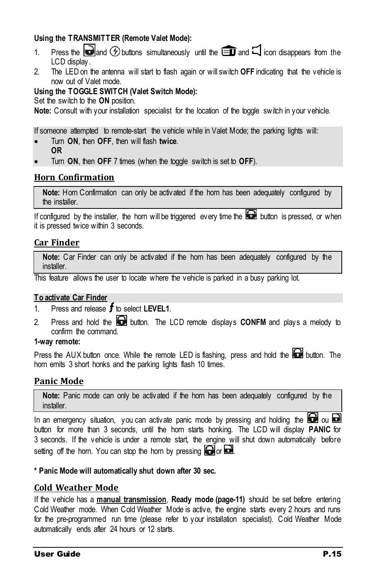#### **Using the TRANSMITTER (Remote Valet Mode):**

- 1. Press the **and O buttons** simultaneously until the **and**  $\Box$  icon disappears from the LCD display.
- 2. The LED on the antenna will start to flash again or will switch **OFF** indicating that the vehicle is now out of Valet mode.

#### <span id="page-14-4"></span>**Using the TOGGLE SWITCH (Valet Switch Mode):**

Set the switch to the **ON** position.

**Note:** Consult with your installation specialist for the location of the toggle switch in your vehicle.

If someone attempted to remote-start the vehicle while in Valet Mode; the parking lights will:

- Turn **ON**, then **OFF**, then will flash **twice**. **OR**
- Turn **ON**, then **OFF** 7 times (when the toggle switch is set to **OFF**).

#### <span id="page-14-0"></span>**Horn Confirmation**

Note: Horn Confirmation can only be activated if the horn has been adequately configured by the installer.

If configured by the installer, the horn will be triggered every time the  $\blacksquare$  button is pressed, or when it is pressed twice within 3 seconds.

#### <span id="page-14-1"></span>**Car Finder**

**Note:** Car Finder can only be activated if the horn has been adequately configured by the installer.

This feature allows the user to locate where the vehicle is parked in a busy parking lot.

#### **To activate Car Finder**

- 1. Press and release  $\boldsymbol{f}$  to select **LEVEL1**.
- 2. Press and hold the **button**. The LCD remote displays **CONFM** and plays a melody to confirm the command.

#### **1-way remote:**

Press the AUX button once. While the remote LED is flashing, press and hold the  $\blacksquare$  button. The horn emits 3 short honks and the parking lights flash 10 times.

#### <span id="page-14-2"></span>**Panic Mode**

**Note:** Panic mode can only be activated if the horn has been adequately configured by the installer.

In an emergency situation, you can activate panic mode by pressing and holding the  $\Box$  ou  $\Box$ button for more than 3 seconds, until the horn starts honking. The LCD will display **PANIC** for 3 seconds. If the vehicle is under a remote start, the engine will shut down automatically before setting off the horn. You can stop the horn by pressing  $\Box$  or  $\Box$ .

#### **\* Panic Mode will automatically shut down after 30 sec.**

#### <span id="page-14-3"></span>**Cold Weather Mode**

If the vehicle has a **manual transmission**, **Ready mode (page[-11\)](#page-10-1)** should be set before entering Cold Weather mode. When Cold Weather Mode is active, the engine starts every 2 hours and runs for the pre-programmed run time (please refer to your installation specialist). Cold Weather Mode automatically ends after 24 hours or 12 starts.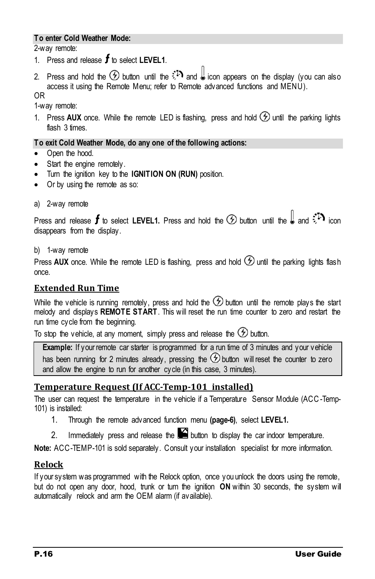#### **To enter Cold Weather Mode:**

2-way remote:

- 1. Press and release  $f$  to select LEVEL1.
- 2. Press and hold the  $\circled{D}$  button until the  $\ddot{P}$  and  $\ddot{I}$  icon appears on the display (you can also access it using the Remote Menu; refer to Remote advanced functions and MENU).

OR

1-way remote:

1. Press AUX once. While the remote LED is flashing, press and hold  $\circled{D}$  until the parking lights flash 3 times.

#### **To exit Cold Weather Mode, do any one of the following actions:**

- Open the hood.
- Start the engine remotely.
- Turn the ignition key to the **IGNITION ON (RUN)** position.
- Or by using the remote as so:
- a) 2-way remote

Press and release  $f$  to select LEVEL1. Press and hold the  $\circled{D}$  button until the  $\downarrow\downarrow$  and  $\ddot{\cdot}^*\cdot$  icon disappears from the display.

b) 1-way remote

Press AUX once. While the remote LED is flashing, press and hold  $\circled{2}$  until the parking lights flash once.

#### <span id="page-15-0"></span>**Extended Run Time**

While the vehicle is running remotely, press and hold the  $\circledast$  button until the remote plays the start melody and displays **REMOTE START**. This will reset the run time counter to zero and restart the run time cycle from the beginning.

To stop the vehicle, at any moment, simply press and release the  $\circledast$  button.

**Example:** If your remote car starter is programmed for a run time of 3 minutes and your vehicle has been running for 2 minutes already, pressing the  $\circled{D}$  button will reset the counter to zero and allow the engine to run for another cycle (in this case, 3 minutes).

#### <span id="page-15-1"></span>**Temperature Request (If ACC-Temp-101 installed)**

The user can request the temperature in the vehicle if a Temperature Sensor Module (ACC-Temp-101) is installed:

- 1. Through the remote advanced function menu **(page[-6\)](#page-5-0)**, select **LEVEL1.**
- 2. Immediately press and release the  $\blacksquare$  button to display the car indoor temperature.

**Note:** ACC-TEMP-101 is sold separately. Consult your installation specialist for more information.

#### <span id="page-15-2"></span>**Relock**

If your system was programmed with the Relock option, once you unlock the doors using the remote, but do not open any door, hood, trunk or turn the ignition **ON** within 30 seconds, the system will automatically relock and arm the OEM alarm (if available).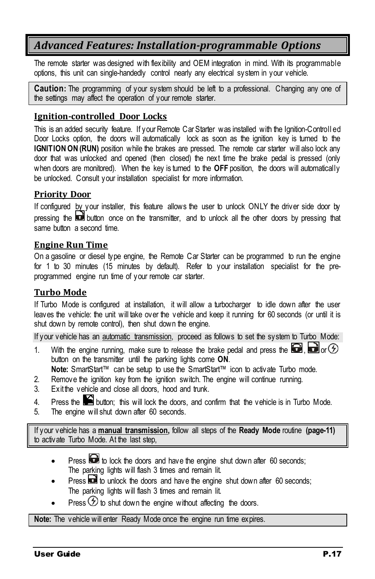### <span id="page-16-0"></span>*Advanced Features: Installation-programmable Options*

The remote starter was designed with flexibility and OEM integration in mind. With its programmable options, this unit can single-handedly control nearly any electrical system in your vehicle.

**Caution:** The programming of your system should be left to a professional. Changing any one of the settings may affect the operation of your remote starter.

#### <span id="page-16-1"></span>**Ignition-controlled Door Locks**

This is an added security feature. If your Remote Car Starter was installed with the Ignition-Controll ed Door Locks option, the doors will automatically lock as soon as the ignition key is turned to the **IGNITION ON (RUN)** position while the brakes are pressed. The remote car starter will also lock any door that was unlocked and opened (then closed) the next time the brake pedal is pressed (only when doors are monitored). When the key is turned to the **OFF** position, the doors will automatically be unlocked. Consult your installation specialist for more information.

#### <span id="page-16-2"></span>**Priority Door**

If configured by your installer, this feature allows the user to unlock ONLY the driver side door by pressing the button once on the transmitter, and to unlock all the other doors by pressing that same button a second time.

#### <span id="page-16-3"></span>**Engine Run Time**

On a gasoline or diesel type engine, the Remote Car Starter can be programmed to run the engine for 1 to 30 minutes (15 minutes by default). Refer to your installation specialist for the preprogrammed engine run time of your remote car starter.

#### <span id="page-16-4"></span>**Turbo Mode**

If Turbo Mode is configured at installation, it will allow a turbocharger to idle down after the user leaves the vehicle: the unit will take over the vehicle and keep it running for 60 seconds (or until it is shut down by remote control), then shut down the engine.

If your vehicle has an *automatic transmission*, proceed as follows to set the system to Turbo Mode:

1. With the engine running, make sure to release the brake pedal and press the  $\Box$ ,  $\Box$  or  $\odot$ button on the transmitter until the parking lights come **ON**.

**Note:** SmartStart™ can be setup to use the SmartStart™ icon to activate Turbo mode.

- 2. Remove the ignition key from the ignition switch. The engine will continue running.
- 3. Exit the vehicle and close all doors, hood and trunk.
- 4. Press the  $\blacktriangleright$  button; this will lock the doors, and confirm that the vehicle is in Turbo Mode.
- 5. The engine will shut down after 60 seconds.

If your vehicle has a **manual transmission,** follow all steps of the **Ready Mode** routine **(pag[e-11\)](#page-10-1)** to activate Turbo Mode. At the last step,

- Press **to** to lock the doors and have the engine shut down after 60 seconds; The parking lights will flash 3 times and remain lit.
- Press  $\Box$  to unlock the doors and have the engine shut down after 60 seconds; The parking lights will flash 3 times and remain lit.
- Press  $\circled{2}$  to shut down the engine without affecting the doors.

**Note:** The vehicle will enter Ready Mode once the engine run time expires.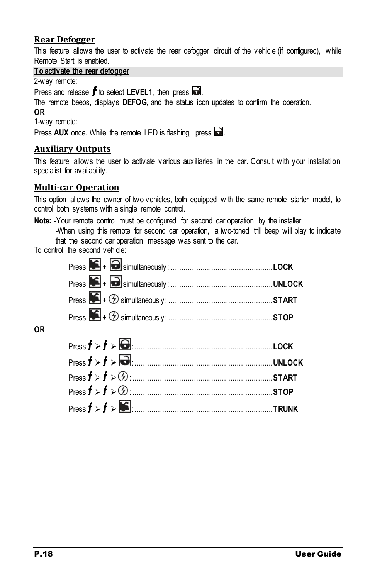#### <span id="page-17-0"></span>**Rear Defogger**

This feature allows the user to activate the rear defogger circuit of the vehicle (if configured), while Remote Start is enabled.

#### **To activate the rear defogger**

2-way remote:

Press and release  $f$  to select LEVEL1, then press  $\Box$ .

The remote beeps, displays **DEFOG**, and the status icon updates to confirm the operation.

#### **OR**

1-way remote:

Press **AUX** once. While the remote LED is flashing, press ...

#### <span id="page-17-1"></span>**Auxiliary Outputs**

This feature allows the user to activate various auxiliaries in the car. Consult with your installation specialist for availability.

#### <span id="page-17-2"></span>**Multi-car Operation**

This option allows the owner of two vehicles, both equipped with the same remote starter model, to control both systems with a single remote control.

**Note:** -Your remote control must be configured for second car operation by the installer.

-When using this remote for second car operation, a two-toned trill beep will play to indicate that the second car operation message was sent to the car.

To control the second vehicle:

#### **OR**

| Press f > f > 1 |  |
|-----------------|--|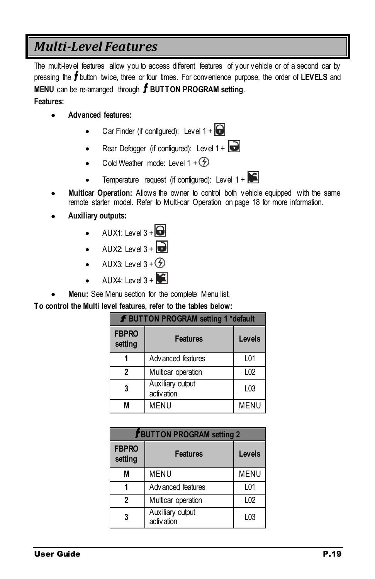### <span id="page-18-0"></span>*Multi-Level Features*

The multi-level features allow you to access different features of your vehicle or of a second car by pressing the **f** button twice, three or four times. For convenience purpose, the order of LEVELS and **MENU** can be re-arranged through **f** BUTTON PROGRAM setting.

**Features:**

- **Advanced features:** 
	- Car Finder (if configured): Level  $1 + \bigodot$
	- Rear Defogger (if configured): Level  $1 + \Box$
	- Cold Weather mode: Level  $1 + D$
	- Temperature request (if configured): Level  $1 + \infty$
- **Multicar Operation:** Allows the owner to control both vehicle equipped with the same remote starter model. Refer t[o Multi-car Operation](#page-17-2) on page [18](#page-17-2) for more information.
- **Auxiliary outputs:** 
	- $\bullet$  AUX1: Level 3 +  $\bullet$
	- $\bullet$  AUX2: Level 3 +
	- AUX3: Level  $3 + 6$
	- $\Delta$ UX4: Level 3 +
- **Menu:** See Menu section for the complete Menu list.

**To control the Multi level features, refer to the tables below:**

| <b>f BUTTON PROGRAM setting 1 *default</b> |                                 |                  |
|--------------------------------------------|---------------------------------|------------------|
| <b>FBPRO</b><br>setting                    | <b>Features</b>                 | Levels           |
|                                            | Advanced features               | L01              |
| 2                                          | Multicar operation              | L02              |
| 3                                          | Auxiliary output<br>activ ation | L <sub>0</sub> 3 |
| М                                          | <b>MENU</b>                     | MENU             |

| <b>J BUTTON PROGRAM setting 2</b> |                                  |                  |
|-----------------------------------|----------------------------------|------------------|
| <b>FBPRO</b><br>setting           | <b>Features</b>                  | Levels           |
| М                                 | <b>MENU</b>                      | <b>MENU</b>      |
|                                   | Advanced features                | L01              |
| 2                                 | Multicar operation               | L <sub>02</sub>  |
| 3                                 | Aux iliary output<br>activ ation | L <sub>0</sub> 3 |